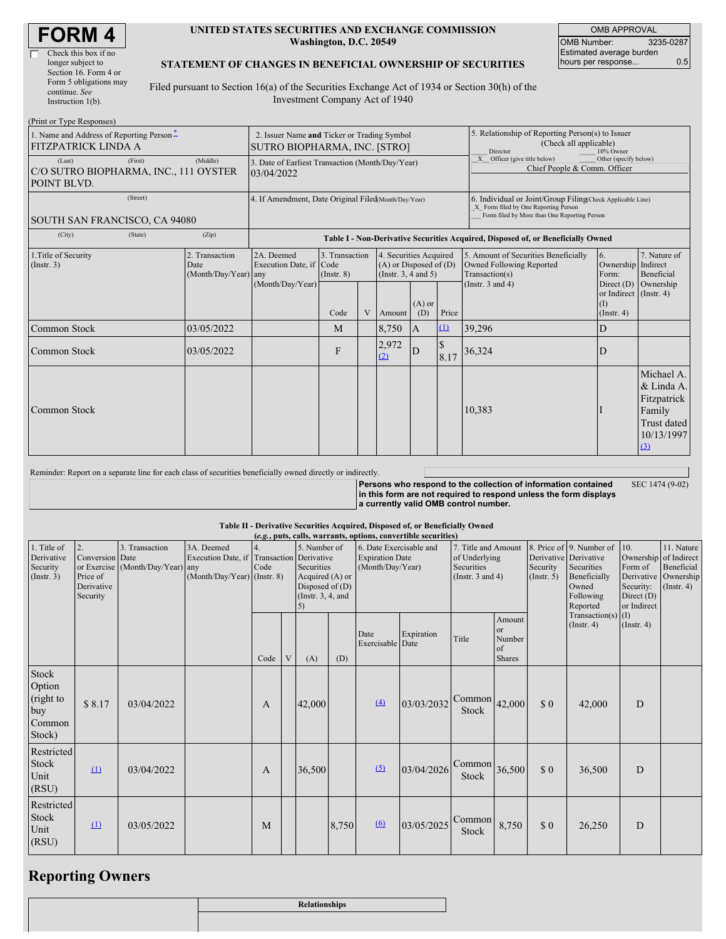| <b>FORM4</b> |  |
|--------------|--|
|--------------|--|

г

| Check this box if no   |
|------------------------|
| longer subject to      |
| Section 16. Form 4 or  |
| Form 5 obligations may |
| continue. See          |
| Instruction 1(b).      |

#### **UNITED STATES SECURITIES AND EXCHANGE COMMISSION Washington, D.C. 20549**

OMB APPROVAL OMB Number: 3235-0287 Estimated average burden hours per response... 0.5

## **STATEMENT OF CHANGES IN BENEFICIAL OWNERSHIP OF SECURITIES**

Filed pursuant to Section 16(a) of the Securities Exchange Act of 1934 or Section 30(h) of the Investment Company Act of 1940

| (Print or Type Responses)                                                             |                                                                             |                                                                |                                   |   |                                                                              |                                                                                                     |                                                                                          |                                                                                                                                                    |                                                                 |                                                                                            |
|---------------------------------------------------------------------------------------|-----------------------------------------------------------------------------|----------------------------------------------------------------|-----------------------------------|---|------------------------------------------------------------------------------|-----------------------------------------------------------------------------------------------------|------------------------------------------------------------------------------------------|----------------------------------------------------------------------------------------------------------------------------------------------------|-----------------------------------------------------------------|--------------------------------------------------------------------------------------------|
| 1. Name and Address of Reporting Person-<br><b>FITZPATRICK LINDA A</b>                | 2. Issuer Name and Ticker or Trading Symbol<br>SUTRO BIOPHARMA, INC. [STRO] |                                                                |                                   |   |                                                                              | 5. Relationship of Reporting Person(s) to Issuer<br>(Check all applicable)<br>Director<br>10% Owner |                                                                                          |                                                                                                                                                    |                                                                 |                                                                                            |
| (Last)<br>(First)<br>C/O SUTRO BIOPHARMA, INC., 111 OYSTER<br>POINT BLVD.             | (Middle)                                                                    | 3. Date of Earliest Transaction (Month/Day/Year)<br>03/04/2022 |                                   |   |                                                                              |                                                                                                     | Officer (give title below)<br>X<br>Other (specify below)<br>Chief People & Comm. Officer |                                                                                                                                                    |                                                                 |                                                                                            |
| (Street)<br>SOUTH SAN FRANCISCO, CA 94080                                             |                                                                             | 4. If Amendment, Date Original Filed(Month/Day/Year)           |                                   |   |                                                                              |                                                                                                     |                                                                                          | 6. Individual or Joint/Group Filing(Check Applicable Line)<br>X Form filed by One Reporting Person<br>Form filed by More than One Reporting Person |                                                                 |                                                                                            |
| (City)<br>(State)                                                                     | (Zip)                                                                       |                                                                |                                   |   |                                                                              |                                                                                                     |                                                                                          | Table I - Non-Derivative Securities Acquired, Disposed of, or Beneficially Owned                                                                   |                                                                 |                                                                                            |
| 2. Transaction<br>1. Title of Security<br>(Insert. 3)<br>Date<br>(Month/Day/Year) any |                                                                             | 2A. Deemed<br>Execution Date, if Code                          | 3. Transaction<br>$($ Instr. $8)$ |   | 4. Securities Acquired<br>$(A)$ or Disposed of $(D)$<br>(Insert. 3, 4 and 5) |                                                                                                     |                                                                                          | 5. Amount of Securities Beneficially<br>Owned Following Reported<br>Transaction(s)                                                                 | 6.<br>Ownership Indirect<br>Form:                               | 7. Nature of<br>Beneficial                                                                 |
|                                                                                       |                                                                             | (Month/Day/Year)                                               | Code                              | V | Amount                                                                       | $(A)$ or<br>(D)                                                                                     | Price                                                                                    | (Instr. $3$ and $4$ )                                                                                                                              | Direct (D)<br>or Indirect (Instr. 4)<br>(1)<br>$($ Instr. 4 $)$ | Ownership                                                                                  |
| Common Stock                                                                          | 03/05/2022                                                                  |                                                                | M                                 |   | 8,750                                                                        | A                                                                                                   | $\Omega$                                                                                 | 39,296                                                                                                                                             | D                                                               |                                                                                            |
| Common Stock                                                                          | 03/05/2022                                                                  |                                                                | F                                 |   | 2,972<br>(2)                                                                 | D                                                                                                   | 8.17                                                                                     | 36,324                                                                                                                                             | D                                                               |                                                                                            |
| Common Stock                                                                          |                                                                             |                                                                |                                   |   |                                                                              |                                                                                                     |                                                                                          | 10,383                                                                                                                                             |                                                                 | Michael A.<br>& Linda A.<br>Fitzpatrick<br>Family<br>Trust dated<br>10/13/1997<br>$\Omega$ |

| Reminder: Report on a separate line for each class of securities beneficially owned directly or indirectly. |                                                                                                                                                                              |                 |
|-------------------------------------------------------------------------------------------------------------|------------------------------------------------------------------------------------------------------------------------------------------------------------------------------|-----------------|
|                                                                                                             | Persons who respond to the collection of information contained<br>in this form are not required to respond unless the form displays<br>a currently valid OMB control number. | SEC 1474 (9-02) |
|                                                                                                             |                                                                                                                                                                              |                 |

### **Table II - Derivative Securities Acquired, Disposed of, or Beneficially Owned**

|                                                         | (e.g., puts, calls, warrants, options, convertible securities)            |                                                    |                                                                                          |            |   |                                                                                                                                                                         |       |                          |                                                                             |                                 |                                                   |                                                                                          |                                                                                       |                                                                          |  |
|---------------------------------------------------------|---------------------------------------------------------------------------|----------------------------------------------------|------------------------------------------------------------------------------------------|------------|---|-------------------------------------------------------------------------------------------------------------------------------------------------------------------------|-------|--------------------------|-----------------------------------------------------------------------------|---------------------------------|---------------------------------------------------|------------------------------------------------------------------------------------------|---------------------------------------------------------------------------------------|--------------------------------------------------------------------------|--|
| 1. Title of<br>Derivative<br>Security<br>(Insert. 3)    | $\overline{2}$ .<br>Conversion Date<br>Price of<br>Derivative<br>Security | 3. Transaction<br>or Exercise (Month/Day/Year) any | 3A. Deemed<br>Execution Date, if Transaction Derivative<br>$(Month/Day/Year)$ (Instr. 8) | 4.<br>Code |   | 5. Number of<br>6. Date Exercisable and<br><b>Expiration Date</b><br>Securities<br>(Month/Day/Year)<br>Acquired (A) or<br>Disposed of (D)<br>(Instr. $3, 4$ , and<br>5) |       |                          | 7. Title and Amount<br>of Underlying<br>Securities<br>(Instr. $3$ and $4$ ) |                                 | Derivative Derivative<br>Security<br>(Insert. 5)  | 8. Price of 9. Number of<br>Securities<br>Beneficially<br>Owned<br>Following<br>Reported | 10.<br>Ownership<br>Form of<br>Derivative<br>Security:<br>Direct $(D)$<br>or Indirect | 11. Nature<br>of Indirect<br>Beneficial<br>Ownership<br>$($ Instr. 4 $)$ |  |
|                                                         |                                                                           |                                                    |                                                                                          | Code       | V | (A)                                                                                                                                                                     | (D)   | Date<br>Exercisable Date | Expiration                                                                  | Title                           | Amount<br><sub>or</sub><br>Number<br>of<br>Shares |                                                                                          | Transaction(s) $(I)$<br>(Insert. 4)                                                   | $($ Instr. 4 $)$                                                         |  |
| Stock<br>Option<br>(right to<br>buy<br>Common<br>Stock) | \$8.17                                                                    | 03/04/2022                                         |                                                                                          | A          |   | 42,000                                                                                                                                                                  |       | (4)                      | 03/03/2032                                                                  | $\text{Common}$ 42,000<br>Stock |                                                   | \$0                                                                                      | 42,000                                                                                | D                                                                        |  |
| Restricted<br>Stock<br>Unit<br>(RSU)                    | $\Omega$                                                                  | 03/04/2022                                         |                                                                                          | A          |   | 36,500                                                                                                                                                                  |       | (5)                      | 03/04/2026                                                                  | Common<br>Stock                 | 36,500                                            | \$0                                                                                      | 36,500                                                                                | D                                                                        |  |
| Restricted<br>Stock<br>Unit<br>(RSU)                    | $\Omega$                                                                  | 03/05/2022                                         |                                                                                          | M          |   |                                                                                                                                                                         | 8,750 | $\omega$                 | 03/05/2025                                                                  | Common<br>Stock                 | 8,750                                             | \$0                                                                                      | 26,250                                                                                | D                                                                        |  |

# **Reporting Owners**

| Relationships |
|---------------|
|               |